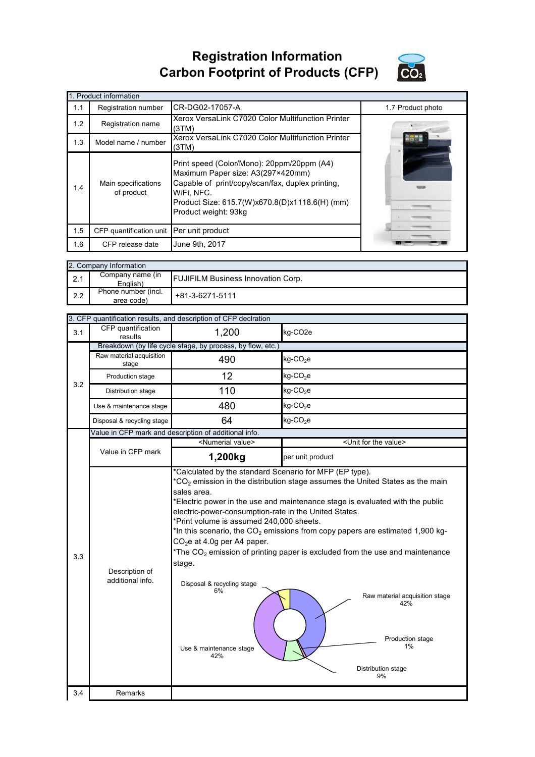## **Registration Information Carbon Footprint of Products (CFP)**



|     | 1. Product information                   |                                                                                                                                                                                                                             |                   |  |  |  |  |
|-----|------------------------------------------|-----------------------------------------------------------------------------------------------------------------------------------------------------------------------------------------------------------------------------|-------------------|--|--|--|--|
| 1.1 | Registration number                      | CR-DG02-17057-A                                                                                                                                                                                                             | 1.7 Product photo |  |  |  |  |
| 1.2 | Registration name                        | Xerox VersaLink C7020 Color Multifunction Printer<br>(3TM)                                                                                                                                                                  |                   |  |  |  |  |
| 1.3 | Model name / number                      | Xerox VersaLink C7020 Color Multifunction Printer<br>(3TM)                                                                                                                                                                  |                   |  |  |  |  |
| 1.4 | Main specifications<br>of product        | Print speed (Color/Mono): 20ppm/20ppm (A4)<br>Maximum Paper size: A3(297×420mm)<br>Capable of print/copy/scan/fax, duplex printing,<br>WiFi, NFC.<br>Product Size: 615.7(W)x670.8(D)x1118.6(H) (mm)<br>Product weight: 93kg |                   |  |  |  |  |
| 1.5 | CFP quantification unit Per unit product |                                                                                                                                                                                                                             |                   |  |  |  |  |
| 1.6 | CFP release date                         | June 9th, 2017                                                                                                                                                                                                              |                   |  |  |  |  |

|     | 2. Company Information            |                                           |  |  |  |
|-----|-----------------------------------|-------------------------------------------|--|--|--|
| 2.1 | Company name (in<br>English)      | <b>FUJIFILM Business Innovation Corp.</b> |  |  |  |
| 2.2 | Phone number (incl.<br>area code) | +81-3-6271-5111                           |  |  |  |

|     |                                    | 3. CFP quantification results, and description of CFP declration                                                                                                                                                                                                                                                                                                                                                                                                                                                                                                                                                                                                                                                                           |                                      |  |  |
|-----|------------------------------------|--------------------------------------------------------------------------------------------------------------------------------------------------------------------------------------------------------------------------------------------------------------------------------------------------------------------------------------------------------------------------------------------------------------------------------------------------------------------------------------------------------------------------------------------------------------------------------------------------------------------------------------------------------------------------------------------------------------------------------------------|--------------------------------------|--|--|
| 3.1 | CFP quantification<br>results      | 1,200                                                                                                                                                                                                                                                                                                                                                                                                                                                                                                                                                                                                                                                                                                                                      | kg-CO <sub>2e</sub>                  |  |  |
|     |                                    | Breakdown (by life cycle stage, by process, by flow, etc.)                                                                                                                                                                                                                                                                                                                                                                                                                                                                                                                                                                                                                                                                                 |                                      |  |  |
|     | Raw material acquisition<br>stage  | 490                                                                                                                                                                                                                                                                                                                                                                                                                                                                                                                                                                                                                                                                                                                                        | $kg$ -CO <sub>2</sub> e              |  |  |
| 3.2 | Production stage                   | 12                                                                                                                                                                                                                                                                                                                                                                                                                                                                                                                                                                                                                                                                                                                                         | $kg$ -CO <sub>2</sub> e              |  |  |
|     | Distribution stage                 | 110                                                                                                                                                                                                                                                                                                                                                                                                                                                                                                                                                                                                                                                                                                                                        | $kg$ -CO <sub>2</sub> e              |  |  |
|     | Use & maintenance stage            | 480                                                                                                                                                                                                                                                                                                                                                                                                                                                                                                                                                                                                                                                                                                                                        | $kg$ -CO <sub>2</sub> e              |  |  |
|     | Disposal & recycling stage         | 64                                                                                                                                                                                                                                                                                                                                                                                                                                                                                                                                                                                                                                                                                                                                         | kg-CO <sub>2</sub> e                 |  |  |
|     |                                    | Value in CFP mark and description of additional info.                                                                                                                                                                                                                                                                                                                                                                                                                                                                                                                                                                                                                                                                                      |                                      |  |  |
|     |                                    | <numerial value=""></numerial>                                                                                                                                                                                                                                                                                                                                                                                                                                                                                                                                                                                                                                                                                                             | <unit for="" the="" value=""></unit> |  |  |
|     | Value in CFP mark                  | 1,200kg                                                                                                                                                                                                                                                                                                                                                                                                                                                                                                                                                                                                                                                                                                                                    | per unit product                     |  |  |
| 3.3 | Description of<br>additional info. | *Calculated by the standard Scenario for MFP (EP type).<br>$*$ CO <sub>2</sub> emission in the distribution stage assumes the United States as the main<br>sales area.<br>*Electric power in the use and maintenance stage is evaluated with the public<br>electric-power-consumption-rate in the United States.<br>*Print volume is assumed 240,000 sheets.<br>*In this scenario, the $CO2$ emissions from copy papers are estimated 1,900 kg-<br>$CO2e$ at 4.0g per A4 paper.<br>*The $CO2$ emission of printing paper is excluded from the use and maintenance<br>stage.<br>Disposal & recycling stage<br>6%<br>Raw material acquisition stage<br>42%<br>Production stage<br>1%<br>Use & maintenance stage<br>42%<br>Distribution stage |                                      |  |  |
| 3.4 | <b>Remarks</b>                     |                                                                                                                                                                                                                                                                                                                                                                                                                                                                                                                                                                                                                                                                                                                                            |                                      |  |  |
|     |                                    |                                                                                                                                                                                                                                                                                                                                                                                                                                                                                                                                                                                                                                                                                                                                            |                                      |  |  |